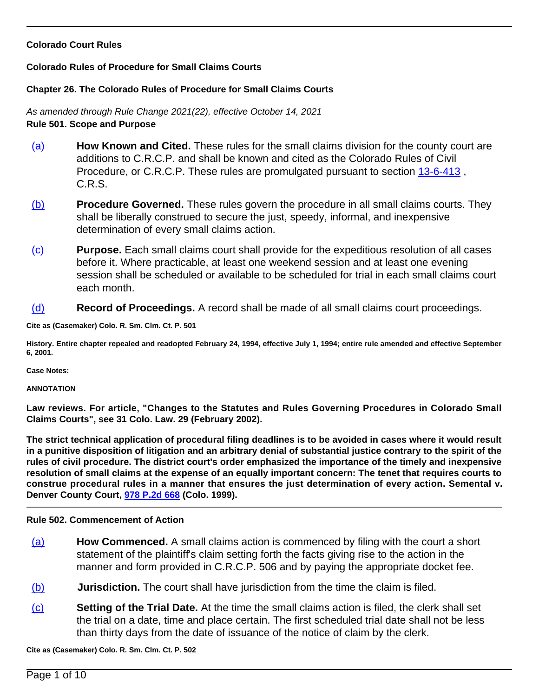### **Colorado Court Rules**

### **Colorado Rules of Procedure for Small Claims Courts**

### **Chapter 26. The Colorado Rules of Procedure for Small Claims Courts**

As amended through Rule Change 2021(22), effective October 14, 2021 **Rule 501. Scope and Purpose**

- (a) **How Known and Cited.** These rules for the small claims division for the county court are additions to C.R.C.P. and shall be known and cited as the Colorado Rules of Civil Procedure, or C.R.C.P. These rules are promulgated pursuant to section [13-6-413](/NLLXML/getcode.asp?statecd=COampamp;codesec=13-6-413ampamp;sessionyr=2021ampamp;Title=13ampamp;datatype=Sampamp;noheader=0ampamp;nojumpmsg=0) , C.R.S.
- (b) **Procedure Governed.** These rules govern the procedure in all small claims courts. They shall be liberally construed to secure the just, speedy, informal, and inexpensive determination of every small claims action.
- (c) **Purpose.** Each small claims court shall provide for the expeditious resolution of all cases before it. Where practicable, at least one weekend session and at least one evening session shall be scheduled or available to be scheduled for trial in each small claims court each month.
- (d) **Record of Proceedings.** A record shall be made of all small claims court proceedings.

**Cite as (Casemaker) Colo. R. Sm. Clm. Ct. P. 501**

**History. Entire chapter repealed and readopted February 24, 1994, effective July 1, 1994; entire rule amended and effective September 6, 2001.**

**Case Notes:**

#### **ANNOTATION**

**Law reviews. For article, "Changes to the Statutes and Rules Governing Procedures in Colorado Small Claims Courts", see 31 Colo. Law. 29 (February 2002).**

**The strict technical application of procedural filing deadlines is to be avoided in cases where it would result in a punitive disposition of litigation and an arbitrary denial of substantial justice contrary to the spirit of the rules of civil procedure. The district court's order emphasized the importance of the timely and inexpensive resolution of small claims at the expense of an equally important concern: The tenet that requires courts to construe procedural rules in a manner that ensures the just determination of every action. Semental v. Denver County Court, [978 P.2d 668](/NLLXML/getcase.asp?citation=978%20P.2d%20668ampamp;casedate=1999-04-26ampamp;statecd=COampamp;bookname=Case_Lawampamp;noheader=0ampamp;nojumpmsg=0) (Colo. 1999).**

### **Rule 502. Commencement of Action**

- (a) **How Commenced.** A small claims action is commenced by filing with the court a short statement of the plaintiff's claim setting forth the facts giving rise to the action in the manner and form provided in C.R.C.P. 506 and by paying the appropriate docket fee.
- (b) **Jurisdiction.** The court shall have jurisdiction from the time the claim is filed.
- (c) **Setting of the Trial Date.** At the time the small claims action is filed, the clerk shall set the trial on a date, time and place certain. The first scheduled trial date shall not be less than thirty days from the date of issuance of the notice of claim by the clerk.

**Cite as (Casemaker) Colo. R. Sm. Clm. Ct. P. 502**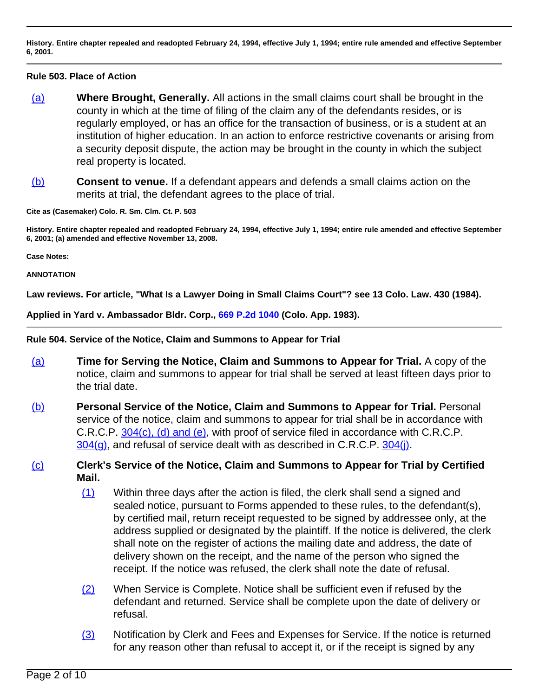**History. Entire chapter repealed and readopted February 24, 1994, effective July 1, 1994; entire rule amended and effective September 6, 2001.**

### **Rule 503. Place of Action**

- (a) **Where Brought, Generally.** All actions in the small claims court shall be brought in the county in which at the time of filing of the claim any of the defendants resides, or is regularly employed, or has an office for the transaction of business, or is a student at an institution of higher education. In an action to enforce restrictive covenants or arising from a security deposit dispute, the action may be brought in the county in which the subject real property is located.
- (b) **Consent to venue.** If a defendant appears and defends a small claims action on the merits at trial, the defendant agrees to the place of trial.

**Cite as (Casemaker) Colo. R. Sm. Clm. Ct. P. 503**

**History. Entire chapter repealed and readopted February 24, 1994, effective July 1, 1994; entire rule amended and effective September 6, 2001; (a) amended and effective November 13, 2008.**

**Case Notes:**

**ANNOTATION**

**Law reviews. For article, "What Is a Lawyer Doing in Small Claims Court"? see 13 Colo. Law. 430 (1984).**

**Applied in Yard v. Ambassador Bldr. Corp., [669 P.2d 1040](/NLLXML/getcase.asp?citation=669%20P.2d%201040ampamp;casedate=1983-07-21ampamp;statecd=COampamp;bookname=Case_Lawampamp;noheader=0ampamp;nojumpmsg=0) (Colo. App. 1983).**

**Rule 504. Service of the Notice, Claim and Summons to Appear for Trial**

- (a) **Time for Serving the Notice, Claim and Summons to Appear for Trial.** A copy of the notice, claim and summons to appear for trial shall be served at least fifteen days prior to the trial date.
- (b) **Personal Service of the Notice, Claim and Summons to Appear for Trial.** Personal service of the notice, claim and summons to appear for trial shall be in accordance with C.R.C.P. [304\(c\), \(d\) and \(e\)](/NLLXML/getcode.asp?statecd=COampamp;codesec=304ampamp;sessionyr=2021ampamp;Title=colorado%20rules%20of%20civil%20procedureampamp;datatype=Rampamp;noheader=0ampamp;nojumpmsg=0ampamp;nojumpmsg=0#304(c),%20(d)%20and%20(e)), with proof of service filed in accordance with C.R.C.P.  $304(q)$ , and refusal of service dealt with as described in C.R.C.P.  $304(i)$ .

# (c) **Clerk's Service of the Notice, Claim and Summons to Appear for Trial by Certified Mail.**

- (1) Within three days after the action is filed, the clerk shall send a signed and sealed notice, pursuant to Forms appended to these rules, to the defendant(s), by certified mail, return receipt requested to be signed by addressee only, at the address supplied or designated by the plaintiff. If the notice is delivered, the clerk shall note on the register of actions the mailing date and address, the date of delivery shown on the receipt, and the name of the person who signed the receipt. If the notice was refused, the clerk shall note the date of refusal.
- (2) When Service is Complete. Notice shall be sufficient even if refused by the defendant and returned. Service shall be complete upon the date of delivery or refusal.
- (3) Notification by Clerk and Fees and Expenses for Service. If the notice is returned for any reason other than refusal to accept it, or if the receipt is signed by any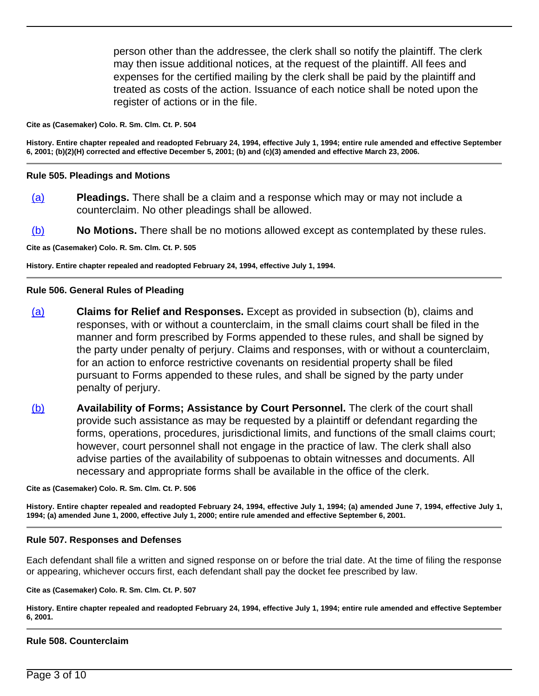person other than the addressee, the clerk shall so notify the plaintiff. The clerk may then issue additional notices, at the request of the plaintiff. All fees and expenses for the certified mailing by the clerk shall be paid by the plaintiff and treated as costs of the action. Issuance of each notice shall be noted upon the register of actions or in the file.

#### **Cite as (Casemaker) Colo. R. Sm. Clm. Ct. P. 504**

**History. Entire chapter repealed and readopted February 24, 1994, effective July 1, 1994; entire rule amended and effective September 6, 2001; (b)(2)(H) corrected and effective December 5, 2001; (b) and (c)(3) amended and effective March 23, 2006.**

#### **Rule 505. Pleadings and Motions**

- (a) **Pleadings.** There shall be a claim and a response which may or may not include a counterclaim. No other pleadings shall be allowed.
- (b) **No Motions.** There shall be no motions allowed except as contemplated by these rules.

**Cite as (Casemaker) Colo. R. Sm. Clm. Ct. P. 505**

**History. Entire chapter repealed and readopted February 24, 1994, effective July 1, 1994.**

#### **Rule 506. General Rules of Pleading**

- (a) **Claims for Relief and Responses.** Except as provided in subsection (b), claims and responses, with or without a counterclaim, in the small claims court shall be filed in the manner and form prescribed by Forms appended to these rules, and shall be signed by the party under penalty of perjury. Claims and responses, with or without a counterclaim, for an action to enforce restrictive covenants on residential property shall be filed pursuant to Forms appended to these rules, and shall be signed by the party under penalty of perjury.
- (b) **Availability of Forms; Assistance by Court Personnel.** The clerk of the court shall provide such assistance as may be requested by a plaintiff or defendant regarding the forms, operations, procedures, jurisdictional limits, and functions of the small claims court; however, court personnel shall not engage in the practice of law. The clerk shall also advise parties of the availability of subpoenas to obtain witnesses and documents. All necessary and appropriate forms shall be available in the office of the clerk.

**Cite as (Casemaker) Colo. R. Sm. Clm. Ct. P. 506**

**History. Entire chapter repealed and readopted February 24, 1994, effective July 1, 1994; (a) amended June 7, 1994, effective July 1, 1994; (a) amended June 1, 2000, effective July 1, 2000; entire rule amended and effective September 6, 2001.**

#### **Rule 507. Responses and Defenses**

Each defendant shall file a written and signed response on or before the trial date. At the time of filing the response or appearing, whichever occurs first, each defendant shall pay the docket fee prescribed by law.

#### **Cite as (Casemaker) Colo. R. Sm. Clm. Ct. P. 507**

**History. Entire chapter repealed and readopted February 24, 1994, effective July 1, 1994; entire rule amended and effective September 6, 2001.**

### **Rule 508. Counterclaim**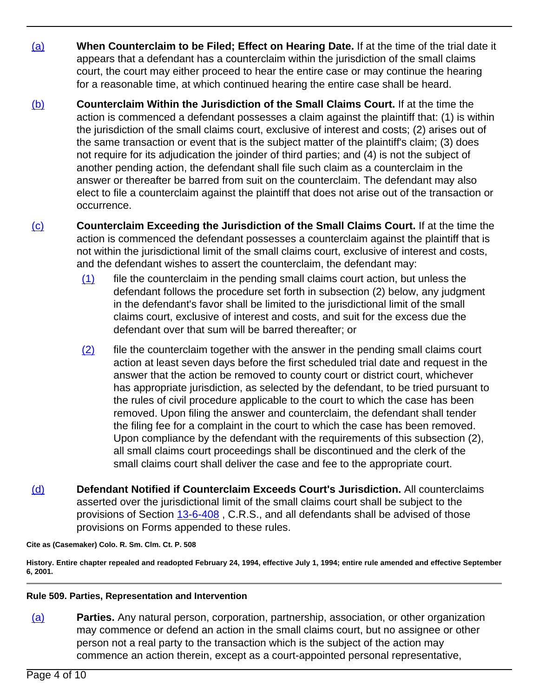- (a) **When Counterclaim to be Filed; Effect on Hearing Date.** If at the time of the trial date it appears that a defendant has a counterclaim within the jurisdiction of the small claims court, the court may either proceed to hear the entire case or may continue the hearing for a reasonable time, at which continued hearing the entire case shall be heard.
- (b) **Counterclaim Within the Jurisdiction of the Small Claims Court.** If at the time the action is commenced a defendant possesses a claim against the plaintiff that: (1) is within the jurisdiction of the small claims court, exclusive of interest and costs; (2) arises out of the same transaction or event that is the subject matter of the plaintiff's claim; (3) does not require for its adjudication the joinder of third parties; and (4) is not the subject of another pending action, the defendant shall file such claim as a counterclaim in the answer or thereafter be barred from suit on the counterclaim. The defendant may also elect to file a counterclaim against the plaintiff that does not arise out of the transaction or occurrence.
- (c) **Counterclaim Exceeding the Jurisdiction of the Small Claims Court.** If at the time the action is commenced the defendant possesses a counterclaim against the plaintiff that is not within the jurisdictional limit of the small claims court, exclusive of interest and costs, and the defendant wishes to assert the counterclaim, the defendant may:
	- $(1)$  file the counterclaim in the pending small claims court action, but unless the defendant follows the procedure set forth in subsection (2) below, any judgment in the defendant's favor shall be limited to the jurisdictional limit of the small claims court, exclusive of interest and costs, and suit for the excess due the defendant over that sum will be barred thereafter; or
	- (2) file the counterclaim together with the answer in the pending small claims court action at least seven days before the first scheduled trial date and request in the answer that the action be removed to county court or district court, whichever has appropriate jurisdiction, as selected by the defendant, to be tried pursuant to the rules of civil procedure applicable to the court to which the case has been removed. Upon filing the answer and counterclaim, the defendant shall tender the filing fee for a complaint in the court to which the case has been removed. Upon compliance by the defendant with the requirements of this subsection (2), all small claims court proceedings shall be discontinued and the clerk of the small claims court shall deliver the case and fee to the appropriate court.
- (d) **Defendant Notified if Counterclaim Exceeds Court's Jurisdiction.** All counterclaims asserted over the jurisdictional limit of the small claims court shall be subject to the provisions of Section [13-6-408](/NLLXML/getcode.asp?statecd=COampamp;codesec=13-6-408ampamp;sessionyr=2021ampamp;Title=13ampamp;datatype=Sampamp;noheader=0ampamp;nojumpmsg=0) , C.R.S., and all defendants shall be advised of those provisions on Forms appended to these rules.

**Cite as (Casemaker) Colo. R. Sm. Clm. Ct. P. 508**

**History. Entire chapter repealed and readopted February 24, 1994, effective July 1, 1994; entire rule amended and effective September 6, 2001.**

## **Rule 509. Parties, Representation and Intervention**

(a) **Parties.** Any natural person, corporation, partnership, association, or other organization may commence or defend an action in the small claims court, but no assignee or other person not a real party to the transaction which is the subject of the action may commence an action therein, except as a court-appointed personal representative,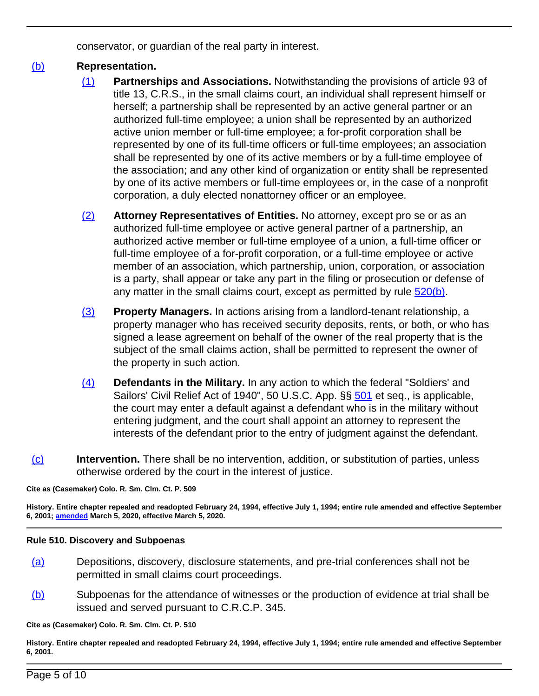conservator, or guardian of the real party in interest.

# (b) **Representation.**

- (1) **Partnerships and Associations.** Notwithstanding the provisions of article 93 of title 13, C.R.S., in the small claims court, an individual shall represent himself or herself; a partnership shall be represented by an active general partner or an authorized full-time employee; a union shall be represented by an authorized active union member or full-time employee; a for-profit corporation shall be represented by one of its full-time officers or full-time employees; an association shall be represented by one of its active members or by a full-time employee of the association; and any other kind of organization or entity shall be represented by one of its active members or full-time employees or, in the case of a nonprofit corporation, a duly elected nonattorney officer or an employee.
- (2) **Attorney Representatives of Entities.** No attorney, except pro se or as an authorized full-time employee or active general partner of a partnership, an authorized active member or full-time employee of a union, a full-time officer or full-time employee of a for-profit corporation, or a full-time employee or active member of an association, which partnership, union, corporation, or association is a party, shall appear or take any part in the filing or prosecution or defense of any matter in the small claims court, except as permitted by rule  $520(b)$ .
- (3) **Property Managers.** In actions arising from a landlord-tenant relationship, a property manager who has received security deposits, rents, or both, or who has signed a lease agreement on behalf of the owner of the real property that is the subject of the small claims action, shall be permitted to represent the owner of the property in such action.
- (4) **Defendants in the Military.** In any action to which the federal "Soldiers' and Sailors' Civil Relief Act of 1940", 50 U.S.C. App. §§ [501](/NLLXML/getcode.asp?statecd=COampamp;codesec=501ampamp;sessionyr=2021ampamp;Title=colorado%20rules%20of%20procedure%20for%20small%20claims%20courtsampamp;datatype=Rampamp;noheader=0ampamp;nojumpmsg=0) et seq., is applicable, the court may enter a default against a defendant who is in the military without entering judgment, and the court shall appoint an attorney to represent the interests of the defendant prior to the entry of judgment against the defendant.
- (c) **Intervention.** There shall be no intervention, addition, or substitution of parties, unless otherwise ordered by the court in the interest of justice.

# **Cite as (Casemaker) Colo. R. Sm. Clm. Ct. P. 509**

**History. Entire chapter repealed and readopted February 24, 1994, effective July 1, 1994; entire rule amended and effective September 6, 2001; [amended](/pdf/co/order/2020/Colo.R.Sm.Clm.Ct.P._2020-03-05-rulesofprocedureforsmallclaims.pdf) March 5, 2020, effective March 5, 2020.**

# **Rule 510. Discovery and Subpoenas**

- (a) Depositions, discovery, disclosure statements, and pre-trial conferences shall not be permitted in small claims court proceedings.
- (b) Subpoenas for the attendance of witnesses or the production of evidence at trial shall be issued and served pursuant to C.R.C.P. 345.

**Cite as (Casemaker) Colo. R. Sm. Clm. Ct. P. 510**

**History. Entire chapter repealed and readopted February 24, 1994, effective July 1, 1994; entire rule amended and effective September 6, 2001.**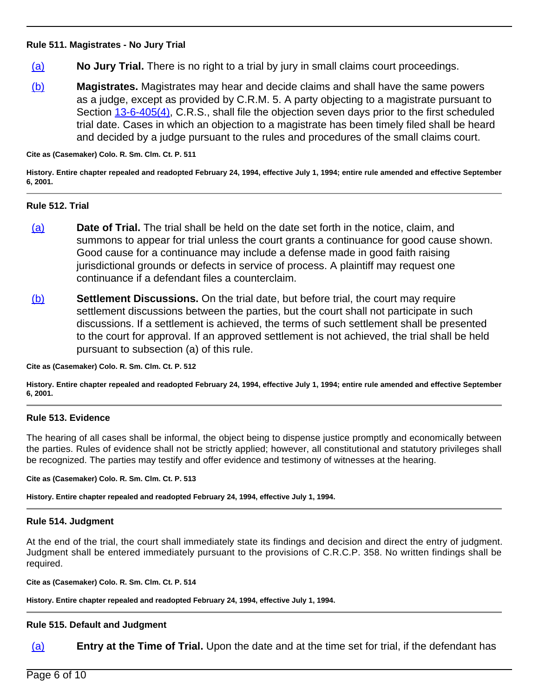### **Rule 511. Magistrates - No Jury Trial**

- (a) **No Jury Trial.** There is no right to a trial by jury in small claims court proceedings.
- (b) **Magistrates.** Magistrates may hear and decide claims and shall have the same powers as a judge, except as provided by C.R.M. 5. A party objecting to a magistrate pursuant to Section [13-6-405\(4\)](/NLLXML/getcode.asp?statecd=COampamp;codesec=13-6-405ampamp;sessionyr=2021ampamp;Title=13ampamp;datatype=Sampamp;noheader=0ampamp;nojumpmsg=0ampamp;nojumpmsg=0#13-6-405(4)), C.R.S., shall file the objection seven days prior to the first scheduled trial date. Cases in which an objection to a magistrate has been timely filed shall be heard and decided by a judge pursuant to the rules and procedures of the small claims court.

**Cite as (Casemaker) Colo. R. Sm. Clm. Ct. P. 511**

**History. Entire chapter repealed and readopted February 24, 1994, effective July 1, 1994; entire rule amended and effective September 6, 2001.**

#### **Rule 512. Trial**

- (a) **Date of Trial.** The trial shall be held on the date set forth in the notice, claim, and summons to appear for trial unless the court grants a continuance for good cause shown. Good cause for a continuance may include a defense made in good faith raising jurisdictional grounds or defects in service of process. A plaintiff may request one continuance if a defendant files a counterclaim.
- (b) **Settlement Discussions.** On the trial date, but before trial, the court may require settlement discussions between the parties, but the court shall not participate in such discussions. If a settlement is achieved, the terms of such settlement shall be presented to the court for approval. If an approved settlement is not achieved, the trial shall be held pursuant to subsection (a) of this rule.

**Cite as (Casemaker) Colo. R. Sm. Clm. Ct. P. 512**

**History. Entire chapter repealed and readopted February 24, 1994, effective July 1, 1994; entire rule amended and effective September 6, 2001.**

### **Rule 513. Evidence**

The hearing of all cases shall be informal, the object being to dispense justice promptly and economically between the parties. Rules of evidence shall not be strictly applied; however, all constitutional and statutory privileges shall be recognized. The parties may testify and offer evidence and testimony of witnesses at the hearing.

**Cite as (Casemaker) Colo. R. Sm. Clm. Ct. P. 513**

**History. Entire chapter repealed and readopted February 24, 1994, effective July 1, 1994.**

# **Rule 514. Judgment**

At the end of the trial, the court shall immediately state its findings and decision and direct the entry of judgment. Judgment shall be entered immediately pursuant to the provisions of C.R.C.P. 358. No written findings shall be required.

**Cite as (Casemaker) Colo. R. Sm. Clm. Ct. P. 514**

**History. Entire chapter repealed and readopted February 24, 1994, effective July 1, 1994.**

## **Rule 515. Default and Judgment**

(a) **Entry at the Time of Trial.** Upon the date and at the time set for trial, if the defendant has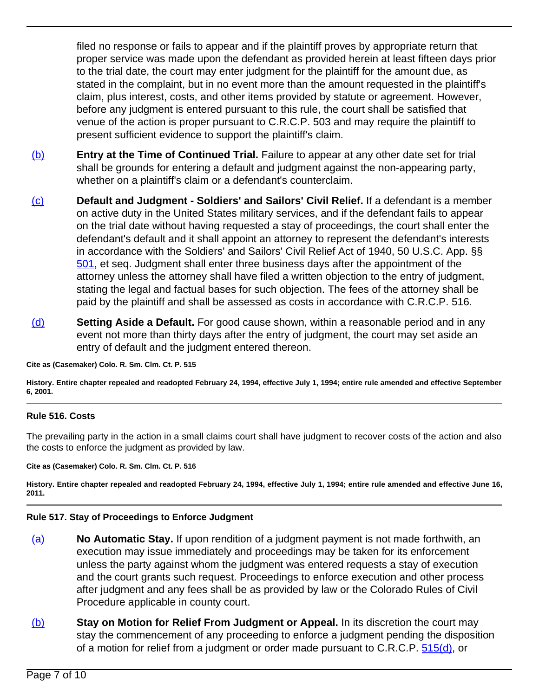filed no response or fails to appear and if the plaintiff proves by appropriate return that proper service was made upon the defendant as provided herein at least fifteen days prior to the trial date, the court may enter judgment for the plaintiff for the amount due, as stated in the complaint, but in no event more than the amount requested in the plaintiff's claim, plus interest, costs, and other items provided by statute or agreement. However, before any judgment is entered pursuant to this rule, the court shall be satisfied that venue of the action is proper pursuant to C.R.C.P. 503 and may require the plaintiff to present sufficient evidence to support the plaintiff's claim.

- (b) **Entry at the Time of Continued Trial.** Failure to appear at any other date set for trial shall be grounds for entering a default and judgment against the non-appearing party, whether on a plaintiff's claim or a defendant's counterclaim.
- (c) **Default and Judgment Soldiers' and Sailors' Civil Relief.** If a defendant is a member on active duty in the United States military services, and if the defendant fails to appear on the trial date without having requested a stay of proceedings, the court shall enter the defendant's default and it shall appoint an attorney to represent the defendant's interests in accordance with the Soldiers' and Sailors' Civil Relief Act of 1940, 50 U.S.C. App. §§ [501](/NLLXML/getcode.asp?statecd=COampamp;codesec=501ampamp;sessionyr=2021ampamp;Title=colorado%20rules%20of%20procedure%20for%20small%20claims%20courtsampamp;datatype=Rampamp;noheader=0ampamp;nojumpmsg=0), et seq. Judgment shall enter three business days after the appointment of the attorney unless the attorney shall have filed a written objection to the entry of judgment, stating the legal and factual bases for such objection. The fees of the attorney shall be paid by the plaintiff and shall be assessed as costs in accordance with C.R.C.P. 516.
- (d) **Setting Aside a Default.** For good cause shown, within a reasonable period and in any event not more than thirty days after the entry of judgment, the court may set aside an entry of default and the judgment entered thereon.

**Cite as (Casemaker) Colo. R. Sm. Clm. Ct. P. 515**

**History. Entire chapter repealed and readopted February 24, 1994, effective July 1, 1994; entire rule amended and effective September 6, 2001.**

## **Rule 516. Costs**

The prevailing party in the action in a small claims court shall have judgment to recover costs of the action and also the costs to enforce the judgment as provided by law.

**Cite as (Casemaker) Colo. R. Sm. Clm. Ct. P. 516**

**History. Entire chapter repealed and readopted February 24, 1994, effective July 1, 1994; entire rule amended and effective June 16, 2011.**

# **Rule 517. Stay of Proceedings to Enforce Judgment**

- (a) **No Automatic Stay.** If upon rendition of a judgment payment is not made forthwith, an execution may issue immediately and proceedings may be taken for its enforcement unless the party against whom the judgment was entered requests a stay of execution and the court grants such request. Proceedings to enforce execution and other process after judgment and any fees shall be as provided by law or the Colorado Rules of Civil Procedure applicable in county court.
- (b) **Stay on Motion for Relief From Judgment or Appeal.** In its discretion the court may stay the commencement of any proceeding to enforce a judgment pending the disposition of a motion for relief from a judgment or order made pursuant to C.R.C.P. [515\(d\),](/NLLXML/getcode.asp?statecd=COampamp;codesec=515ampamp;sessionyr=2021ampamp;Title=colorado%20rules%20of%20civil%20procedureampamp;datatype=Rampamp;noheader=0ampamp;nojumpmsg=0ampamp;nojumpmsg=0#515(d)) or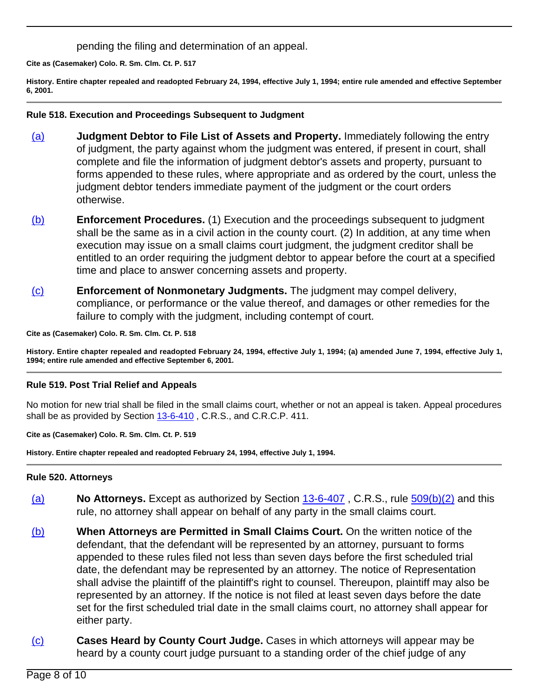pending the filing and determination of an appeal.

**Cite as (Casemaker) Colo. R. Sm. Clm. Ct. P. 517**

**History. Entire chapter repealed and readopted February 24, 1994, effective July 1, 1994; entire rule amended and effective September 6, 2001.**

### **Rule 518. Execution and Proceedings Subsequent to Judgment**

- (a) **Judgment Debtor to File List of Assets and Property.** Immediately following the entry of judgment, the party against whom the judgment was entered, if present in court, shall complete and file the information of judgment debtor's assets and property, pursuant to forms appended to these rules, where appropriate and as ordered by the court, unless the judgment debtor tenders immediate payment of the judgment or the court orders otherwise.
- (b) **Enforcement Procedures.** (1) Execution and the proceedings subsequent to judgment shall be the same as in a civil action in the county court. (2) In addition, at any time when execution may issue on a small claims court judgment, the judgment creditor shall be entitled to an order requiring the judgment debtor to appear before the court at a specified time and place to answer concerning assets and property.
- (c) **Enforcement of Nonmonetary Judgments.** The judgment may compel delivery, compliance, or performance or the value thereof, and damages or other remedies for the failure to comply with the judgment, including contempt of court.

**Cite as (Casemaker) Colo. R. Sm. Clm. Ct. P. 518**

**History. Entire chapter repealed and readopted February 24, 1994, effective July 1, 1994; (a) amended June 7, 1994, effective July 1, 1994; entire rule amended and effective September 6, 2001.**

## **Rule 519. Post Trial Relief and Appeals**

No motion for new trial shall be filed in the small claims court, whether or not an appeal is taken. Appeal procedures shall be as provided by Section [13-6-410](/NLLXML/getcode.asp?statecd=COampamp;codesec=13-6-410ampamp;sessionyr=2021ampamp;Title=13ampamp;datatype=Sampamp;noheader=0ampamp;nojumpmsg=0), C.R.S., and C.R.C.P. 411.

**Cite as (Casemaker) Colo. R. Sm. Clm. Ct. P. 519**

**History. Entire chapter repealed and readopted February 24, 1994, effective July 1, 1994.**

### **Rule 520. Attorneys**

- (a) **No Attorneys.** Except as authorized by Section [13-6-407](/NLLXML/getcode.asp?statecd=COampamp;codesec=13-6-407ampamp;sessionyr=2021ampamp;Title=13ampamp;datatype=Sampamp;noheader=0ampamp;nojumpmsg=0) , C.R.S., rule [509\(b\)\(2\)](/NLLXML/getcode.asp?statecd=COampamp;codesec=509ampamp;sessionyr=2021ampamp;Title=colorado%20rules%20of%20procedure%20for%20small%20claims%20courtsampamp;datatype=Rampamp;noheader=0ampamp;nojumpmsg=0ampamp;nojumpmsg=0#509(b)(2)) and this rule, no attorney shall appear on behalf of any party in the small claims court.
- (b) **When Attorneys are Permitted in Small Claims Court.** On the written notice of the defendant, that the defendant will be represented by an attorney, pursuant to forms appended to these rules filed not less than seven days before the first scheduled trial date, the defendant may be represented by an attorney. The notice of Representation shall advise the plaintiff of the plaintiff's right to counsel. Thereupon, plaintiff may also be represented by an attorney. If the notice is not filed at least seven days before the date set for the first scheduled trial date in the small claims court, no attorney shall appear for either party.
- (c) **Cases Heard by County Court Judge.** Cases in which attorneys will appear may be heard by a county court judge pursuant to a standing order of the chief judge of any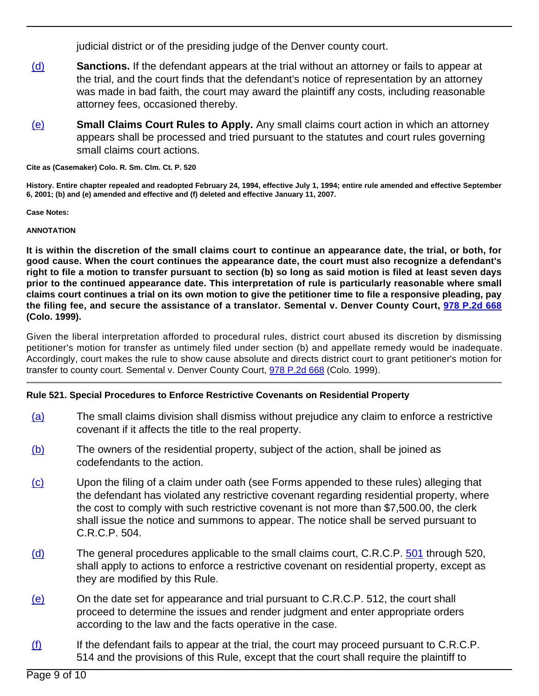judicial district or of the presiding judge of the Denver county court.

- (d) **Sanctions.** If the defendant appears at the trial without an attorney or fails to appear at the trial, and the court finds that the defendant's notice of representation by an attorney was made in bad faith, the court may award the plaintiff any costs, including reasonable attorney fees, occasioned thereby.
- (e) **Small Claims Court Rules to Apply.** Any small claims court action in which an attorney appears shall be processed and tried pursuant to the statutes and court rules governing small claims court actions.

**Cite as (Casemaker) Colo. R. Sm. Clm. Ct. P. 520**

**History. Entire chapter repealed and readopted February 24, 1994, effective July 1, 1994; entire rule amended and effective September 6, 2001; (b) and (e) amended and effective and (f) deleted and effective January 11, 2007.**

**Case Notes:**

## **ANNOTATION**

**It is within the discretion of the small claims court to continue an appearance date, the trial, or both, for good cause. When the court continues the appearance date, the court must also recognize a defendant's right to file a motion to transfer pursuant to section (b) so long as said motion is filed at least seven days prior to the continued appearance date. This interpretation of rule is particularly reasonable where small claims court continues a trial on its own motion to give the petitioner time to file a responsive pleading, pay the filing fee, and secure the assistance of a translator. Semental v. Denver County Court, [978 P.2d 668](/NLLXML/getcase.asp?citation=978%20P.2d%20668ampamp;casedate=1999-04-26ampamp;statecd=COampamp;bookname=Case_Lawampamp;noheader=0ampamp;nojumpmsg=0) (Colo. 1999).**

Given the liberal interpretation afforded to procedural rules, district court abused its discretion by dismissing petitioner's motion for transfer as untimely filed under section (b) and appellate remedy would be inadequate. Accordingly, court makes the rule to show cause absolute and directs district court to grant petitioner's motion for transfer to county court. Semental v. Denver County Court, [978 P.2d 668](/NLLXML/getcase.asp?citation=978%20P.2d%20668ampamp;casedate=1999-04-26ampamp;statecd=COampamp;bookname=Case_Lawampamp;noheader=0ampamp;nojumpmsg=0) (Colo. 1999).

# **Rule 521. Special Procedures to Enforce Restrictive Covenants on Residential Property**

- (a) The small claims division shall dismiss without prejudice any claim to enforce a restrictive covenant if it affects the title to the real property.
- (b) The owners of the residential property, subject of the action, shall be joined as codefendants to the action.
- (c) Upon the filing of a claim under oath (see Forms appended to these rules) alleging that the defendant has violated any restrictive covenant regarding residential property, where the cost to comply with such restrictive covenant is not more than \$7,500.00, the clerk shall issue the notice and summons to appear. The notice shall be served pursuant to C.R.C.P. 504.
- (d) The general procedures applicable to the small claims court, C.R.C.P. [501](/NLLXML/getcode.asp?statecd=COampamp;codesec=501ampamp;sessionyr=2021ampamp;Title=colorado%20rules%20of%20civil%20procedureampamp;datatype=Rampamp;noheader=0ampamp;nojumpmsg=0) through 520, shall apply to actions to enforce a restrictive covenant on residential property, except as they are modified by this Rule.
- (e) On the date set for appearance and trial pursuant to C.R.C.P. 512, the court shall proceed to determine the issues and render judgment and enter appropriate orders according to the law and the facts operative in the case.
- $(f)$  If the defendant fails to appear at the trial, the court may proceed pursuant to C.R.C.P. 514 and the provisions of this Rule, except that the court shall require the plaintiff to